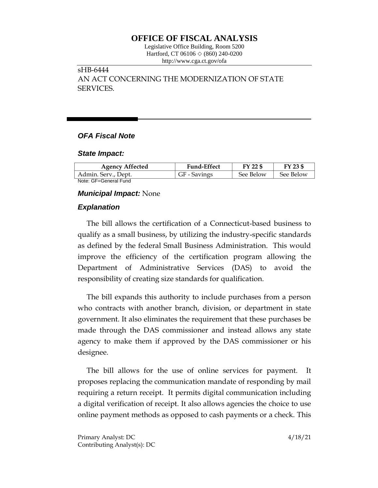# **OFFICE OF FISCAL ANALYSIS**

Legislative Office Building, Room 5200 Hartford, CT 06106 ◇ (860) 240-0200 http://www.cga.ct.gov/ofa

# sHB-6444 AN ACT CONCERNING THE MODERNIZATION OF STATE SERVICES.

## *OFA Fiscal Note*

#### *State Impact:*

| <b>Agency Affected</b> | <b>Fund-Effect</b> | FY 22 \$  | FY 23 \$  |
|------------------------|--------------------|-----------|-----------|
| Admin. Serv., Dept.    | GF - Savings       | See Below | See Below |
| Note: GF=General Fund  |                    |           |           |

#### *Municipal Impact:* None

### *Explanation*

The bill allows the certification of a Connecticut-based business to qualify as a small business, by utilizing the industry-specific standards as defined by the federal Small Business Administration. This would improve the efficiency of the certification program allowing the Department of Administrative Services (DAS) to avoid the responsibility of creating size standards for qualification.

The bill expands this authority to include purchases from a person who contracts with another branch, division, or department in state government. It also eliminates the requirement that these purchases be made through the DAS commissioner and instead allows any state agency to make them if approved by the DAS commissioner or his designee.

The bill allows for the use of online services for payment. It proposes replacing the communication mandate of responding by mail requiring a return receipt. It permits digital communication including a digital verification of receipt. It also allows agencies the choice to use online payment methods as opposed to cash payments or a check. This